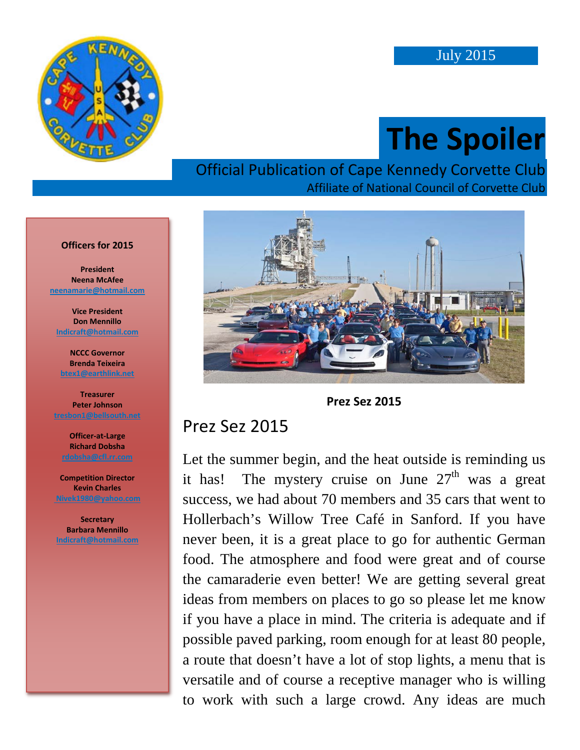

# **The Spoiler**

#### Official Publication of Cape Kennedy Corvette Club Affiliate of National Council of Corvette Club





#### Prez Sez 2015

Let the summer begin, and the heat outside is reminding us it has! The mystery cruise on June  $27<sup>th</sup>$  was a great success, we had about 70 members and 35 cars that went to Hollerbach's Willow Tree Café in Sanford. If you have never been, it is a great place to go for authentic German food. The atmosphere and food were great and of course the camaraderie even better! We are getting several great ideas from members on places to go so please let me know if you have a place in mind. The criteria is adequate and if possible paved parking, room enough for at least 80 people, a route that doesn't have a lot of stop lights, a menu that is versatile and of course a receptive manager who is willing to work with such a large crowd. Any ideas are much

#### **Officers for 2015**

**President Neena McAfee [neenamarie@hotmail.com](mailto:pmartindale1@cfl.rr.com)**

**Vice President Don Mennillo [Indicraft@hotmail.com](mailto:indicraft@hotmail.com)**

**NCCC Governor Brenda Teixeira [btex1@earthlink.net](mailto:btex1@earthlink.net)**

**Treasurer Peter Johnson [tresbon1@bellsouth.net](mailto:tresbon1@bellsouth.net)**

**Officer-at-Large Richard Dobsha**

**Competition Director Kevin Charles [Nivek1980@yahoo.com](mailto:Nivek1980@yahoo.com)**

**Secretary Barbara Mennillo [Indicraft@hotmail.com](mailto:indicraft@hotmail.com)**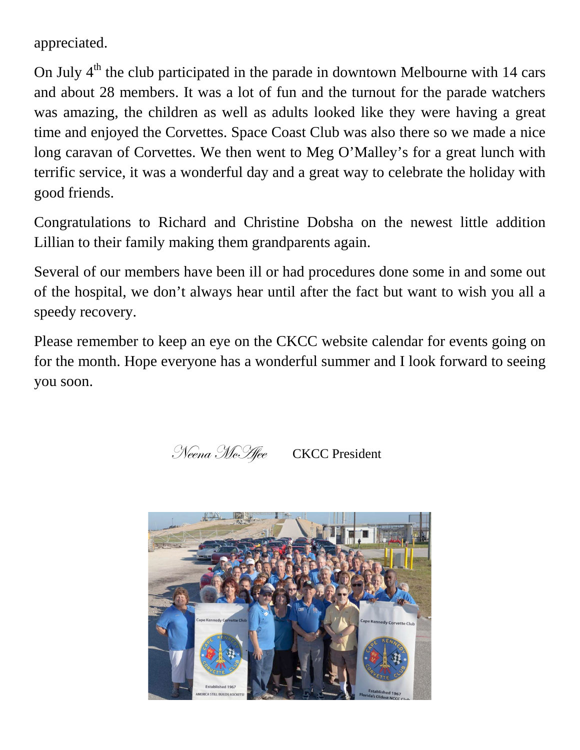appreciated.

On July  $4<sup>th</sup>$  the club participated in the parade in downtown Melbourne with 14 cars and about 28 members. It was a lot of fun and the turnout for the parade watchers was amazing, the children as well as adults looked like they were having a great time and enjoyed the Corvettes. Space Coast Club was also there so we made a nice long caravan of Corvettes. We then went to Meg O'Malley's for a great lunch with terrific service, it was a wonderful day and a great way to celebrate the holiday with good friends.

Congratulations to Richard and Christine Dobsha on the newest little addition Lillian to their family making them grandparents again.

Several of our members have been ill or had procedures done some in and some out of the hospital, we don't always hear until after the fact but want to wish you all a speedy recovery.

Please remember to keep an eye on the CKCC website calendar for events going on for the month. Hope everyone has a wonderful summer and I look forward to seeing you soon.



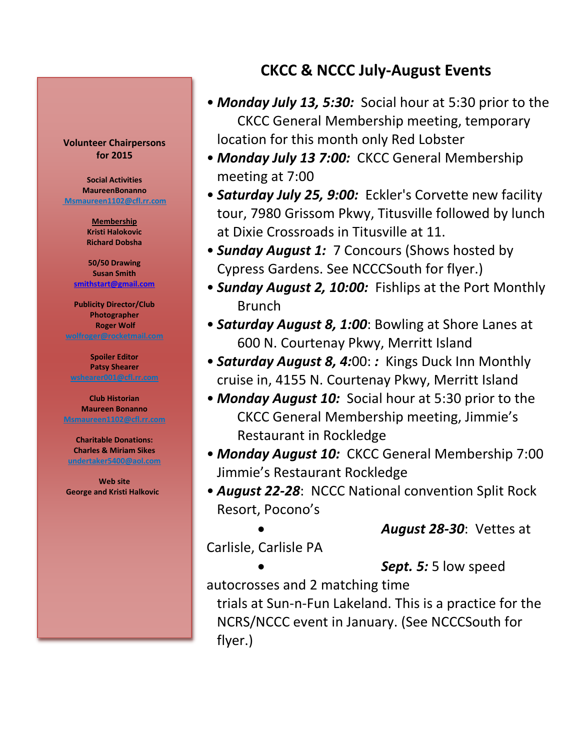#### **Volunteer Chairpersons for 2015**

**Social Activities MaureenBonanno [Msmaureen1102@cfl.rr.com](mailto:msmaureen1102@cfl.rr.com)**

> **Membership Kristi Halokovic Richard Dobsha**

**50/50 Drawing Susan Smith [smithstart@gmail.com](mailto:smithstart@gmail.com)**

**Publicity Director/Club Photographer Roger Wolf [wolfroger@rocketmail.com](mailto:wolfroger@rocketmail.com)**

**Spoiler Editor Patsy Shearer [wshearer001@cfl.rr.com](mailto:cozyjohn@cfl.rr.com)**

**Club Historian Maureen Bonanno [Msmaureen1102@cfl.rr.com](mailto:Msmaureen1102@cfl.rr.com)**

**Charitable Donations: Charles & Miriam Sikes [undertaker5400@aol.com](mailto:undertaker5400@aol.com)**

**Web site George and Kristi Halkovic** 

#### **CKCC & NCCC July-August Events**

- *Monday July 13, 5:30:* Social hour at 5:30 prior to the CKCC General Membership meeting, temporary location for this month only Red Lobster
- *Monday July 13 7:00:* CKCC General Membership meeting at 7:00
- *Saturday July 25, 9:00:* Eckler's Corvette new facility tour, 7980 Grissom Pkwy, Titusville followed by lunch at Dixie Crossroads in Titusville at 11.
- *Sunday August 1:* 7 Concours (Shows hosted by Cypress Gardens. See NCCCSouth for flyer.)
- *Sunday August 2, 10:00:* Fishlips at the Port Monthly Brunch
- *Saturday August 8, 1:00*: Bowling at Shore Lanes at 600 N. Courtenay Pkwy, Merritt Island
- *Saturday August 8, 4:*00: *:* Kings Duck Inn Monthly cruise in, 4155 N. Courtenay Pkwy, Merritt Island
- *Monday August 10:* Social hour at 5:30 prior to the CKCC General Membership meeting, Jimmie's Restaurant in Rockledge
- *Monday August 10:* CKCC General Membership 7:00 Jimmie's Restaurant Rockledge
- *August 22-28*: NCCC National convention Split Rock Resort, Pocono's

• *August 28-30*: Vettes at

Carlisle, Carlisle PA

• *Sept. 5:* 5 low speed

autocrosses and 2 matching time

trials at Sun-n-Fun Lakeland. This is a practice for the NCRS/NCCC event in January. (See NCCCSouth for flyer.)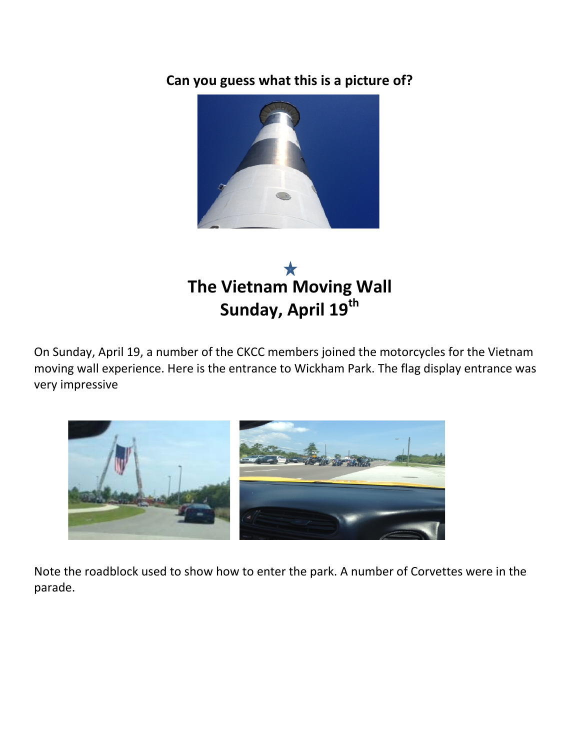**Can you guess what this is a picture of?**



# **The Vietnam Moving Wall Sunday, April 19th**

On Sunday, April 19, a number of the CKCC members joined the motorcycles for the Vietnam moving wall experience. Here is the entrance to Wickham Park. The flag display entrance was very impressive



Note the roadblock used to show how to enter the park. A number of Corvettes were in the parade.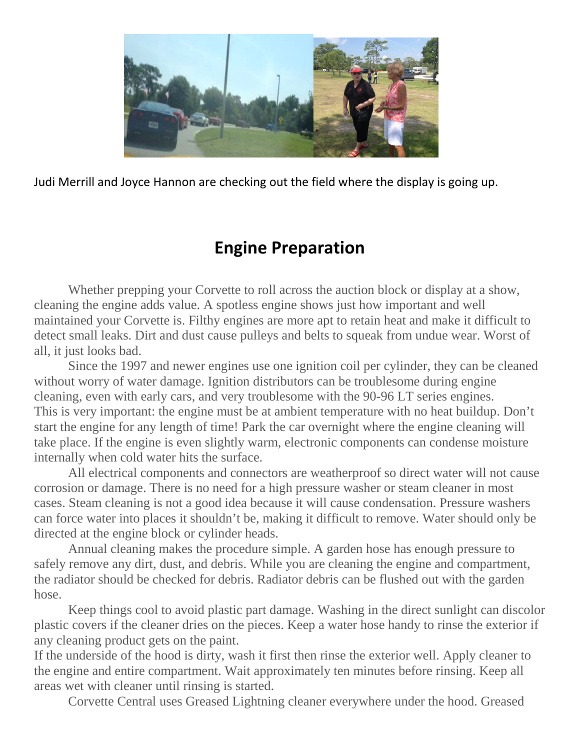

Judi Merrill and Joyce Hannon are checking out the field where the display is going up.

### **Engine Preparation**

Whether prepping your Corvette to roll across the auction block or display at a show, cleaning the engine adds value. A spotless engine shows just how important and well maintained your Corvette is. Filthy engines are more apt to retain heat and make it difficult to detect small leaks. Dirt and dust cause pulleys and belts to squeak from undue wear. Worst of all, it just looks bad.

Since the 1997 and newer engines use one ignition coil per cylinder, they can be cleaned without worry of water damage. Ignition distributors can be troublesome during engine cleaning, even with early cars, and very troublesome with the 90-96 LT series engines. This is very important: the engine must be at ambient temperature with no heat buildup. Don't start the engine for any length of time! Park the car overnight where the engine cleaning will take place. If the engine is even slightly warm, electronic components can condense moisture internally when cold water hits the surface.

All electrical components and connectors are weatherproof so direct water will not cause corrosion or damage. There is no need for a high pressure washer or steam cleaner in most cases. Steam cleaning is not a good idea because it will cause condensation. Pressure washers can force water into places it shouldn't be, making it difficult to remove. Water should only be directed at the engine block or cylinder heads.

Annual cleaning makes the procedure simple. A garden hose has enough pressure to safely remove any dirt, dust, and debris. While you are cleaning the engine and compartment, the radiator should be checked for debris. Radiator debris can be flushed out with the garden hose.

Keep things cool to avoid plastic part damage. Washing in the direct sunlight can discolor plastic covers if the cleaner dries on the pieces. Keep a water hose handy to rinse the exterior if any cleaning product gets on the paint.

If the underside of the hood is dirty, wash it first then rinse the exterior well. Apply cleaner to the engine and entire compartment. Wait approximately ten minutes before rinsing. Keep all areas wet with cleaner until rinsing is started.

Corvette Central uses Greased Lightning cleaner everywhere under the hood. Greased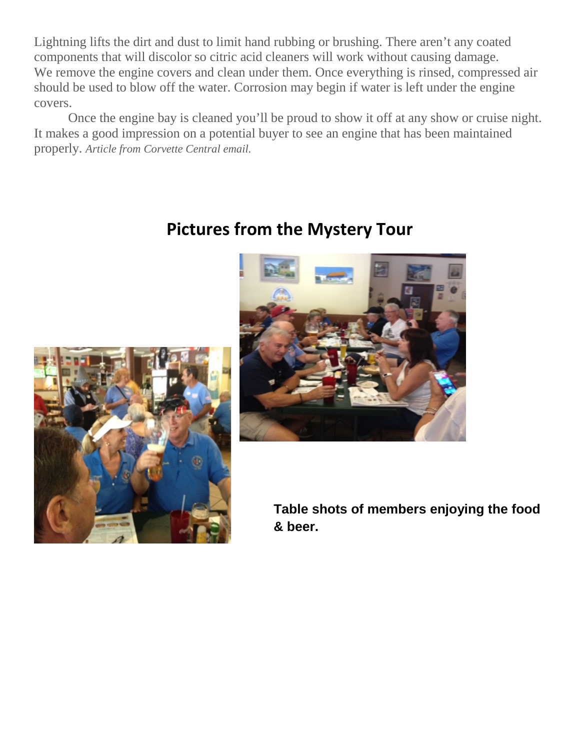Lightning lifts the dirt and dust to limit hand rubbing or brushing. There aren't any coated components that will discolor so citric acid cleaners will work without causing damage. We remove the engine covers and clean under them. Once everything is rinsed, compressed air should be used to blow off the water. Corrosion may begin if water is left under the engine covers.

Once the engine bay is cleaned you'll be proud to show it off at any show or cruise night. It makes a good impression on a potential buyer to see an engine that has been maintained properly. *Article from Corvette Central email.*



### **Pictures from the Mystery Tour**



**Table shots of members enjoying the food & beer.**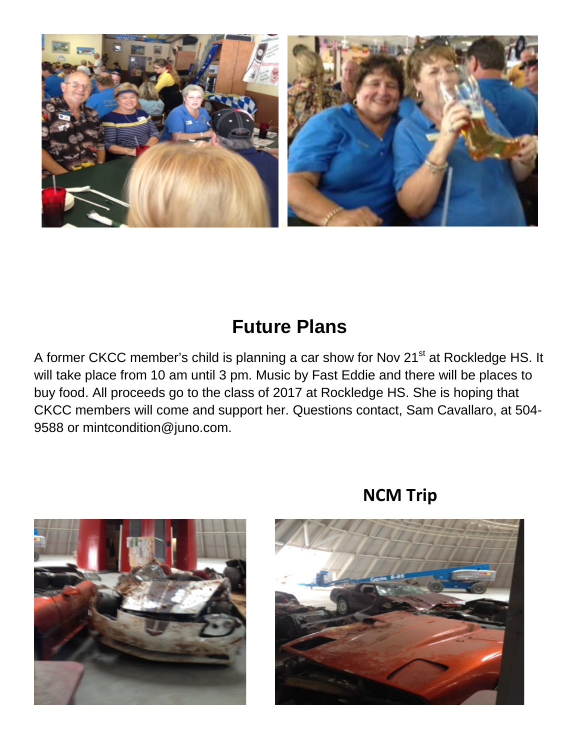

## **Future Plans**

A former CKCC member's child is planning a car show for Nov 21<sup>st</sup> at Rockledge HS. It will take place from 10 am until 3 pm. Music by Fast Eddie and there will be places to buy food. All proceeds go to the class of 2017 at Rockledge HS. She is hoping that CKCC members will come and support her. Questions contact, Sam Cavallaro, at 504- 9588 or mintcondition@juno.com.



#### **NCM Trip**

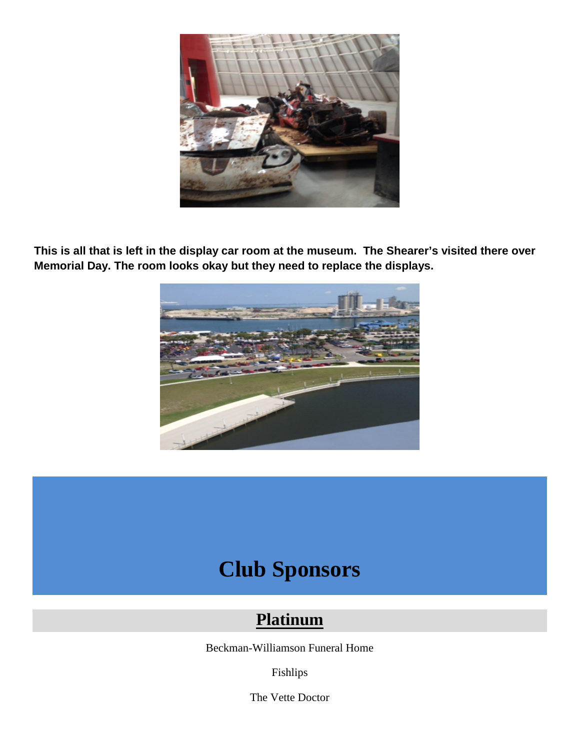

**This is all that is left in the display car room at the museum. The Shearer's visited there over Memorial Day. The room looks okay but they need to replace the displays.**



## **Club Sponsors**

#### **Platinum**

Beckman-Williamson Funeral Home

Fishlips

The Vette Doctor